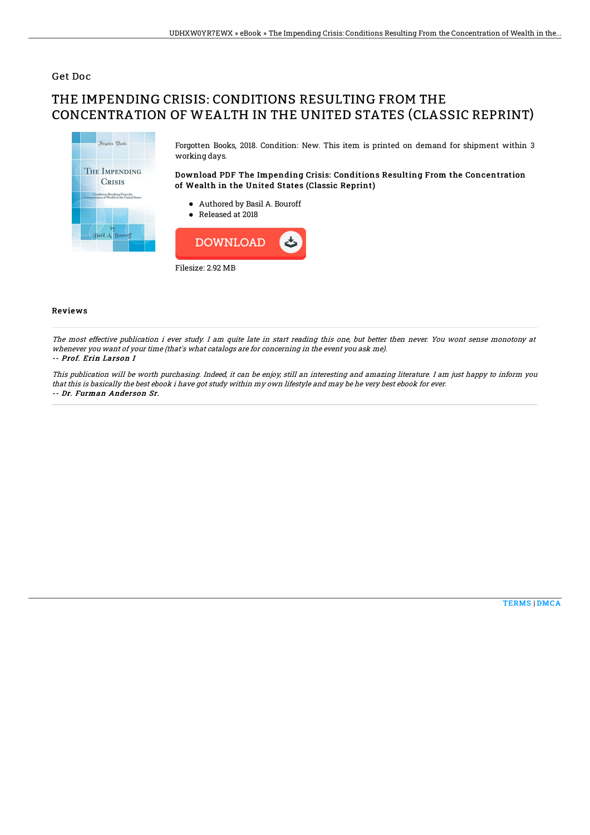## Get Doc

# THE IMPENDING CRISIS: CONDITIONS RESULTING FROM THE CONCENTRATION OF WEALTH IN THE UNITED STATES (CLASSIC REPRINT)



Forgotten Books, 2018. Condition: New. This item is printed on demand for shipment within 3 working days.

### Download PDF The Impending Crisis: Conditions Resulting From the Concentration of Wealth in the United States (Classic Reprint)

- Authored by Basil A. Bouroff
- Released at 2018



#### Reviews

The most effective publication i ever study. I am quite late in start reading this one, but better then never. You wont sense monotony at whenever you want of your time (that's what catalogs are for concerning in the event you ask me). -- Prof. Erin Larson I

This publication will be worth purchasing. Indeed, it can be enjoy, still an interesting and amazing literature. I am just happy to inform you that this is basically the best ebook i have got study within my own lifestyle and may be he very best ebook for ever. -- Dr. Furman Anderson Sr.